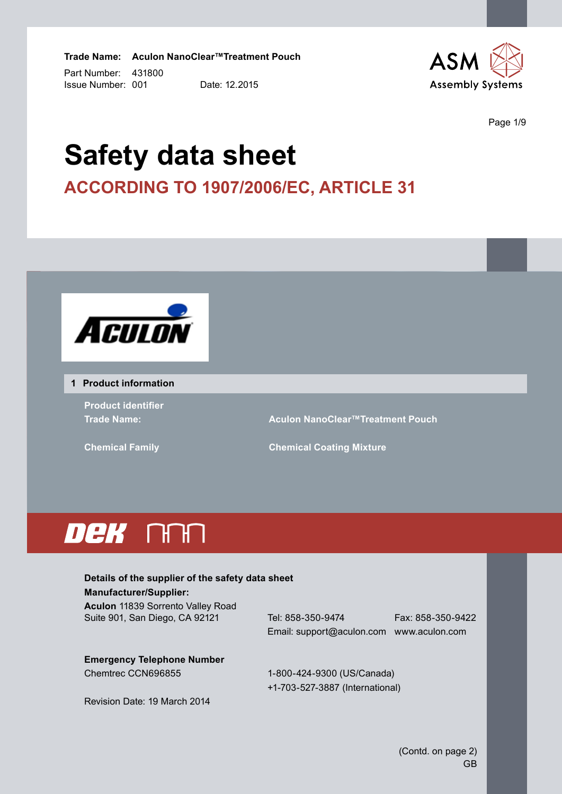Part Number: 431800 **Trade Name: Aculon NanoClear™Treatment Pouch** Issue Number: 001 Date: 12.2015



Page 1/9

# **Safety data sheet according to 1907/2006/EC, Article 31**



#### **1 Product information**

**Product identifier**

**Trade Name: Aculon NanoClear™Treatment Pouch**

**Chemical Family Chemical Coating Mixture**

# DeK NAN

# **Details of the supplier of the safety data sheet Manufacturer/Supplier:**

**Aculon** 11839 Sorrento Valley Road Suite 901, San Diego, CA 92121 Tel: 858-350-9474 Fax: 858-350-9422

Email: support@aculon.com www.aculon.com

**Emergency Telephone Number** Chemtrec CCN696855 1-800-424-9300 (US/Canada)

+1-703-527-3887 (International)

Revision Date: 19 March 2014

(Contd. on page 2) GB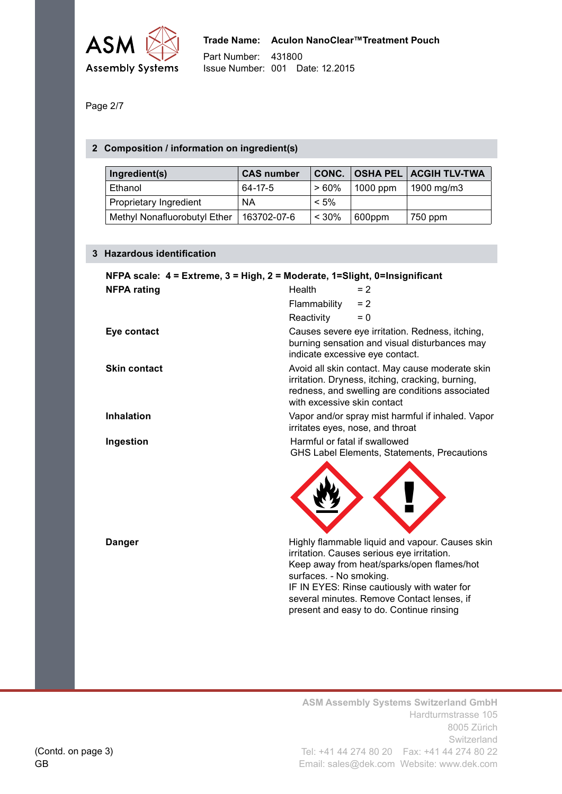

Page 2/7

## **2 Composition / information on ingredient(s)**

| Ingredient(s)                | <b>CAS number</b> | CONC.    |            | <b>OSHA PEL ACGIH TLV-TWA</b> |
|------------------------------|-------------------|----------|------------|-------------------------------|
| Ethanol                      | 64-17-5           | $>60\%$  | $1000$ ppm | 1900 mg/m3                    |
| Proprietary Ingredient       | ΝA                | $< 5\%$  |            |                               |
| Methyl Nonafluorobutyl Ether | 163702-07-6       | $< 30\%$ | 600ppm     | 750 ppm                       |

#### **3 Hazardous identification**

| NFPA scale: 4 = Extreme, 3 = High, 2 = Moderate, 1=Slight, 0=Insignificant |                               |                                                                                                                                                                                                                                                                                      |  |
|----------------------------------------------------------------------------|-------------------------------|--------------------------------------------------------------------------------------------------------------------------------------------------------------------------------------------------------------------------------------------------------------------------------------|--|
| <b>NFPA rating</b>                                                         | Health                        | $= 2$                                                                                                                                                                                                                                                                                |  |
|                                                                            | Flammability                  | $= 2$                                                                                                                                                                                                                                                                                |  |
|                                                                            | Reactivity                    | $= 0$                                                                                                                                                                                                                                                                                |  |
| Eye contact                                                                |                               | Causes severe eye irritation. Redness, itching,<br>burning sensation and visual disturbances may<br>indicate excessive eye contact.                                                                                                                                                  |  |
| <b>Skin contact</b>                                                        | with excessive skin contact   | Avoid all skin contact. May cause moderate skin<br>irritation. Dryness, itching, cracking, burning,<br>redness, and swelling are conditions associated                                                                                                                               |  |
| <b>Inhalation</b>                                                          |                               | Vapor and/or spray mist harmful if inhaled. Vapor<br>irritates eyes, nose, and throat                                                                                                                                                                                                |  |
| Ingestion                                                                  | Harmful or fatal if swallowed | GHS Label Elements, Statements, Precautions                                                                                                                                                                                                                                          |  |
| <b>Danger</b>                                                              | surfaces. - No smoking.       | Highly flammable liquid and vapour. Causes skin<br>irritation. Causes serious eye irritation.<br>Keep away from heat/sparks/open flames/hot<br>IF IN EYES: Rinse cautiously with water for<br>several minutes. Remove Contact lenses, if<br>present and easy to do. Continue rinsing |  |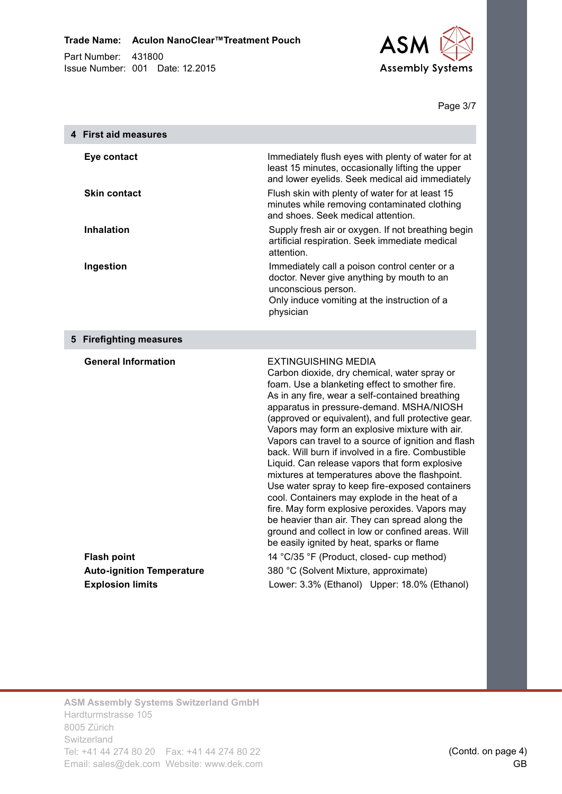

Page 3/7

| 4 First aid measures             |                                                                                                                                                                                                                                                                                                                                                                                                                                                                                                                                                                                                                                                                                                                                                                                                                                                                  |
|----------------------------------|------------------------------------------------------------------------------------------------------------------------------------------------------------------------------------------------------------------------------------------------------------------------------------------------------------------------------------------------------------------------------------------------------------------------------------------------------------------------------------------------------------------------------------------------------------------------------------------------------------------------------------------------------------------------------------------------------------------------------------------------------------------------------------------------------------------------------------------------------------------|
| Eye contact                      | Immediately flush eyes with plenty of water for at<br>least 15 minutes, occasionally lifting the upper<br>and lower eyelids. Seek medical aid immediately                                                                                                                                                                                                                                                                                                                                                                                                                                                                                                                                                                                                                                                                                                        |
| <b>Skin contact</b>              | Flush skin with plenty of water for at least 15<br>minutes while removing contaminated clothing<br>and shoes. Seek medical attention.                                                                                                                                                                                                                                                                                                                                                                                                                                                                                                                                                                                                                                                                                                                            |
| <b>Inhalation</b>                | Supply fresh air or oxygen. If not breathing begin<br>artificial respiration. Seek immediate medical<br>attention.                                                                                                                                                                                                                                                                                                                                                                                                                                                                                                                                                                                                                                                                                                                                               |
| Ingestion                        | Immediately call a poison control center or a<br>doctor. Never give anything by mouth to an<br>unconscious person.<br>Only induce vomiting at the instruction of a<br>physician                                                                                                                                                                                                                                                                                                                                                                                                                                                                                                                                                                                                                                                                                  |
| 5 Firefighting measures          |                                                                                                                                                                                                                                                                                                                                                                                                                                                                                                                                                                                                                                                                                                                                                                                                                                                                  |
| <b>General Information</b>       | <b>EXTINGUISHING MEDIA</b><br>Carbon dioxide, dry chemical, water spray or<br>foam. Use a blanketing effect to smother fire.<br>As in any fire, wear a self-contained breathing<br>apparatus in pressure-demand. MSHA/NIOSH<br>(approved or equivalent), and full protective gear.<br>Vapors may form an explosive mixture with air.<br>Vapors can travel to a source of ignition and flash<br>back. Will burn if involved in a fire. Combustible<br>Liquid. Can release vapors that form explosive<br>mixtures at temperatures above the flashpoint.<br>Use water spray to keep fire-exposed containers<br>cool. Containers may explode in the heat of a<br>fire. May form explosive peroxides. Vapors may<br>be heavier than air. They can spread along the<br>ground and collect in low or confined areas. Will<br>be easily ignited by heat, sparks or flame |
| <b>Flash point</b>               | 14 °C/35 °F (Product, closed- cup method)                                                                                                                                                                                                                                                                                                                                                                                                                                                                                                                                                                                                                                                                                                                                                                                                                        |
| <b>Auto-ignition Temperature</b> | 380 °C (Solvent Mixture, approximate)                                                                                                                                                                                                                                                                                                                                                                                                                                                                                                                                                                                                                                                                                                                                                                                                                            |
| <b>Explosion limits</b>          | Lower: 3.3% (Ethanol) Upper: 18.0% (Ethanol)                                                                                                                                                                                                                                                                                                                                                                                                                                                                                                                                                                                                                                                                                                                                                                                                                     |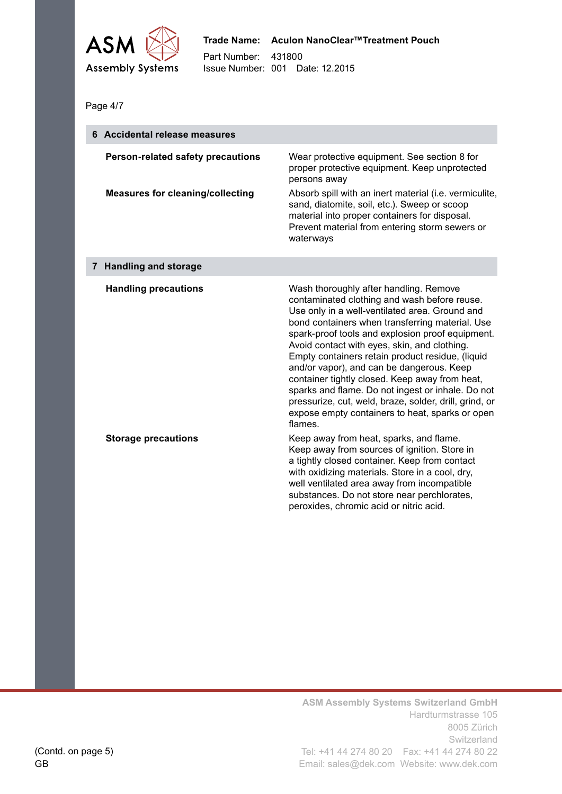

Page 4/7

| 6 Accidental release measures                                                       |                                                                                                                                                                                                                                                                                                                                                                                                                                                                                                                                                                                                                                 |  |
|-------------------------------------------------------------------------------------|---------------------------------------------------------------------------------------------------------------------------------------------------------------------------------------------------------------------------------------------------------------------------------------------------------------------------------------------------------------------------------------------------------------------------------------------------------------------------------------------------------------------------------------------------------------------------------------------------------------------------------|--|
| <b>Person-related safety precautions</b><br><b>Measures for cleaning/collecting</b> | Wear protective equipment. See section 8 for<br>proper protective equipment. Keep unprotected<br>persons away<br>Absorb spill with an inert material (i.e. vermiculite,                                                                                                                                                                                                                                                                                                                                                                                                                                                         |  |
|                                                                                     | sand, diatomite, soil, etc.). Sweep or scoop<br>material into proper containers for disposal.<br>Prevent material from entering storm sewers or<br>waterways                                                                                                                                                                                                                                                                                                                                                                                                                                                                    |  |
| 7 Handling and storage                                                              |                                                                                                                                                                                                                                                                                                                                                                                                                                                                                                                                                                                                                                 |  |
| <b>Handling precautions</b>                                                         | Wash thoroughly after handling. Remove<br>contaminated clothing and wash before reuse.<br>Use only in a well-ventilated area. Ground and<br>bond containers when transferring material. Use<br>spark-proof tools and explosion proof equipment.<br>Avoid contact with eyes, skin, and clothing.<br>Empty containers retain product residue, (liquid<br>and/or vapor), and can be dangerous. Keep<br>container tightly closed. Keep away from heat,<br>sparks and flame. Do not ingest or inhale. Do not<br>pressurize, cut, weld, braze, solder, drill, grind, or<br>expose empty containers to heat, sparks or open<br>flames. |  |
| <b>Storage precautions</b>                                                          | Keep away from heat, sparks, and flame.<br>Keep away from sources of ignition. Store in<br>a tightly closed container. Keep from contact<br>with oxidizing materials. Store in a cool, dry,<br>well ventilated area away from incompatible<br>substances. Do not store near perchlorates,<br>peroxides, chromic acid or nitric acid.                                                                                                                                                                                                                                                                                            |  |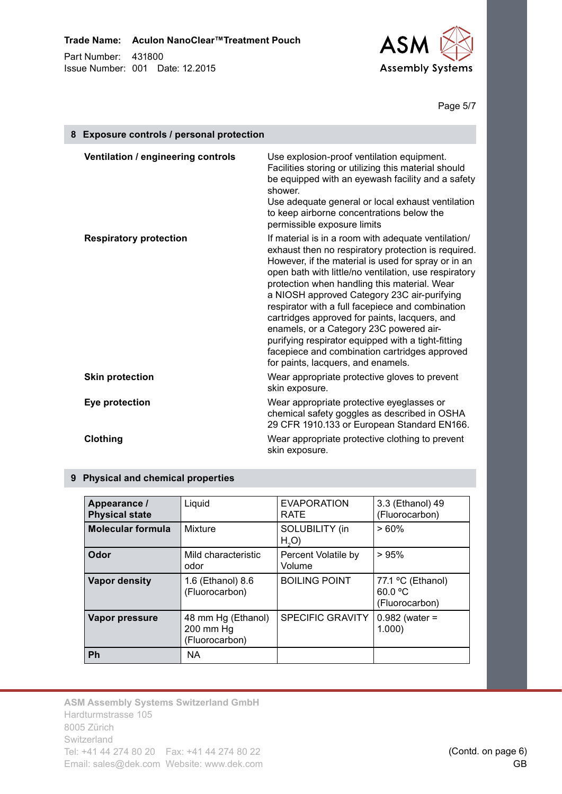

#### Page 5/7

| 8 | <b>Exposure controls / personal protection</b> |                                                                                                                                                                                                                                                                                                                                                                                                                                                                                                                                                                                                                        |  |
|---|------------------------------------------------|------------------------------------------------------------------------------------------------------------------------------------------------------------------------------------------------------------------------------------------------------------------------------------------------------------------------------------------------------------------------------------------------------------------------------------------------------------------------------------------------------------------------------------------------------------------------------------------------------------------------|--|
|   | Ventilation / engineering controls             | Use explosion-proof ventilation equipment.<br>Facilities storing or utilizing this material should<br>be equipped with an eyewash facility and a safety<br>shower.<br>Use adequate general or local exhaust ventilation<br>to keep airborne concentrations below the<br>permissible exposure limits                                                                                                                                                                                                                                                                                                                    |  |
|   | <b>Respiratory protection</b>                  | If material is in a room with adequate ventilation/<br>exhaust then no respiratory protection is required.<br>However, if the material is used for spray or in an<br>open bath with little/no ventilation, use respiratory<br>protection when handling this material. Wear<br>a NIOSH approved Category 23C air-purifying<br>respirator with a full facepiece and combination<br>cartridges approved for paints, lacquers, and<br>enamels, or a Category 23C powered air-<br>purifying respirator equipped with a tight-fitting<br>facepiece and combination cartridges approved<br>for paints, lacquers, and enamels. |  |
|   | <b>Skin protection</b>                         | Wear appropriate protective gloves to prevent<br>skin exposure.                                                                                                                                                                                                                                                                                                                                                                                                                                                                                                                                                        |  |
|   | Eye protection                                 | Wear appropriate protective eyeglasses or<br>chemical safety goggles as described in OSHA<br>29 CFR 1910.133 or European Standard EN166.                                                                                                                                                                                                                                                                                                                                                                                                                                                                               |  |
|   | Clothing                                       | Wear appropriate protective clothing to prevent<br>skin exposure.                                                                                                                                                                                                                                                                                                                                                                                                                                                                                                                                                      |  |

#### **9 Physical and chemical properties**

| Appearance /<br><b>Physical state</b> | Liquid                                            | <b>EVAPORATION</b><br><b>RATE</b>         | 3.3 (Ethanol) 49<br>(Fluorocarbon)             |
|---------------------------------------|---------------------------------------------------|-------------------------------------------|------------------------------------------------|
| <b>Molecular formula</b>              | Mixture                                           | <b>SOLUBILITY</b> (in<br>H <sub>2</sub> O | >60%                                           |
| Odor                                  | Mild characteristic<br>odor                       | Percent Volatile by<br>Volume             | >95%                                           |
| <b>Vapor density</b>                  | 1.6 (Ethanol) 8.6<br>(Fluorocarbon)               | <b>BOILING POINT</b>                      | 77.1 °C (Ethanol)<br>60.0 °C<br>(Fluorocarbon) |
| Vapor pressure                        | 48 mm Hg (Ethanol)<br>200 mm Hg<br>(Fluorocarbon) | <b>SPECIFIC GRAVITY</b>                   | $0.982$ (water =<br>1.000                      |
| Ph                                    | <b>NA</b>                                         |                                           |                                                |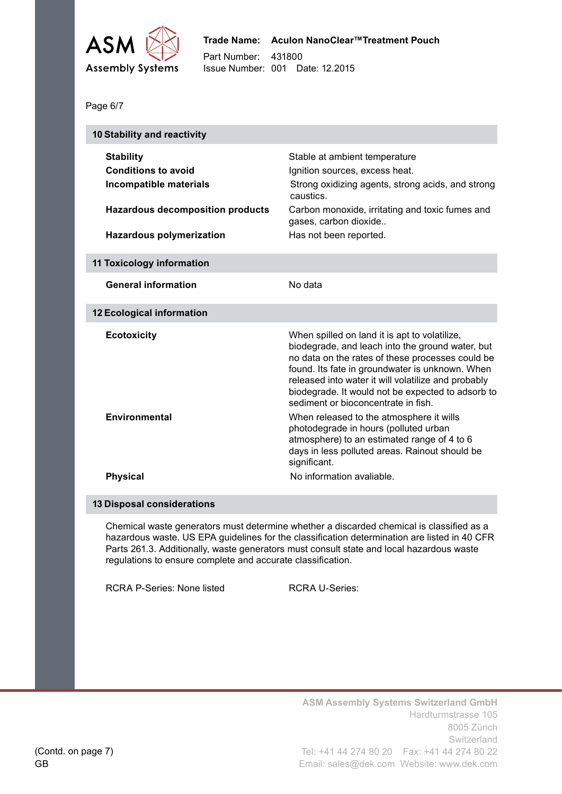

```
Page 6/7
```

| 10 Stability and reactivity                                              |                                                                                                                                                                                                                                                                                                                                                             |  |  |
|--------------------------------------------------------------------------|-------------------------------------------------------------------------------------------------------------------------------------------------------------------------------------------------------------------------------------------------------------------------------------------------------------------------------------------------------------|--|--|
| <b>Stability</b><br><b>Conditions to avoid</b><br>Incompatible materials | Stable at ambient temperature<br>Ignition sources, excess heat.<br>Strong oxidizing agents, strong acids, and strong<br>caustics.                                                                                                                                                                                                                           |  |  |
| <b>Hazardous decomposition products</b>                                  | Carbon monoxide, irritating and toxic fumes and<br>gases, carbon dioxide                                                                                                                                                                                                                                                                                    |  |  |
| <b>Hazardous polymerization</b>                                          | Has not been reported.                                                                                                                                                                                                                                                                                                                                      |  |  |
| <b>11 Toxicology information</b>                                         |                                                                                                                                                                                                                                                                                                                                                             |  |  |
| <b>General information</b>                                               | No data                                                                                                                                                                                                                                                                                                                                                     |  |  |
| <b>12 Ecological information</b>                                         |                                                                                                                                                                                                                                                                                                                                                             |  |  |
| <b>Ecotoxicity</b>                                                       | When spilled on land it is apt to volatilize,<br>biodegrade, and leach into the ground water, but<br>no data on the rates of these processes could be<br>found. Its fate in groundwater is unknown. When<br>released into water it will volatilize and probably<br>biodegrade. It would not be expected to adsorb to<br>sediment or bioconcentrate in fish. |  |  |
| <b>Environmental</b>                                                     | When released to the atmosphere it wills<br>photodegrade in hours (polluted urban<br>atmosphere) to an estimated range of 4 to 6<br>days in less polluted areas. Rainout should be<br>significant.                                                                                                                                                          |  |  |
| <b>Physical</b>                                                          | No information avaliable.                                                                                                                                                                                                                                                                                                                                   |  |  |

#### **13 Disposal considerations**

Chemical waste generators must determine whether a discarded chemical is classified as a hazardous waste. US EPA guidelines for the classification determination are listed in 40 CFR Parts 261.3. Additionally, waste generators must consult state and local hazardous waste regulations to ensure complete and accurate classification.

RCRA P-Series: None listed RCRA U-Series: